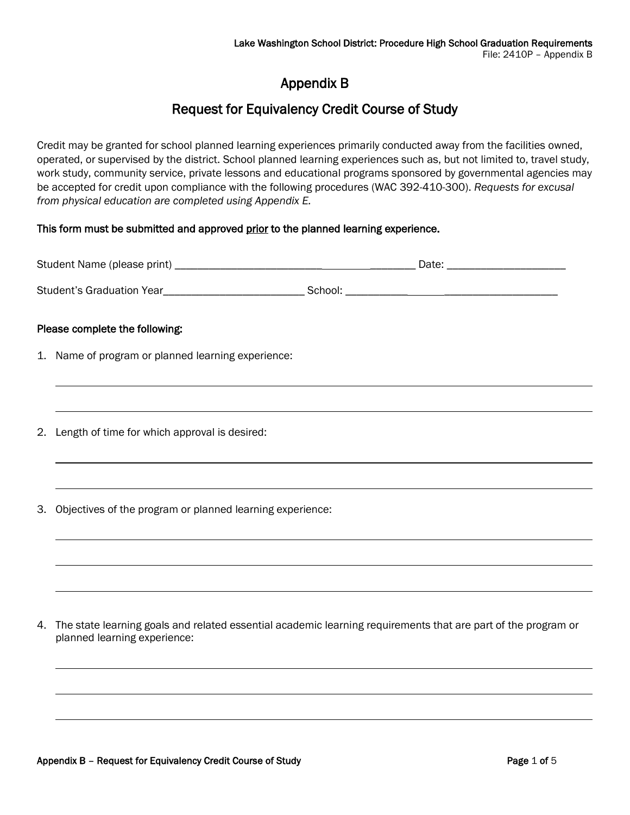# Appendix B

## Request for Equivalency Credit Course of Study

Credit may be granted for school planned learning experiences primarily conducted away from the facilities owned, operated, or supervised by the district. School planned learning experiences such as, but not limited to, travel study, work study, community service, private lessons and educational programs sponsored by governmental agencies may be accepted for credit upon compliance with the following procedures (WAC 392-410-300). *Requests for excusal from physical education are completed using Appendix E.*

### This form must be submitted and approved prior to the planned learning experience.

| Please complete the following: |                                                                                                                                                                      |  |  |  |  |
|--------------------------------|----------------------------------------------------------------------------------------------------------------------------------------------------------------------|--|--|--|--|
|                                | 1. Name of program or planned learning experience:                                                                                                                   |  |  |  |  |
|                                | ,我们也不会有什么。""我们的人,我们也不会有什么?""我们的人,我们也不会有什么?""我们的人,我们也不会有什么?""我们的人,我们也不会有什么?""我们的人<br>,我们也不会有什么。""我们的人,我们也不会有什么?""我们的人,我们也不会有什么?""我们的人,我们也不会有什么?""我们的人,我们也不会有什么?""我们的人 |  |  |  |  |
| 2.                             | Length of time for which approval is desired:                                                                                                                        |  |  |  |  |
|                                |                                                                                                                                                                      |  |  |  |  |
| 3.                             | Objectives of the program or planned learning experience:                                                                                                            |  |  |  |  |
|                                |                                                                                                                                                                      |  |  |  |  |
|                                |                                                                                                                                                                      |  |  |  |  |
| 4.                             | The state learning goals and related essential academic learning requirements that are part of the program or<br>planned learning experience:                        |  |  |  |  |
|                                |                                                                                                                                                                      |  |  |  |  |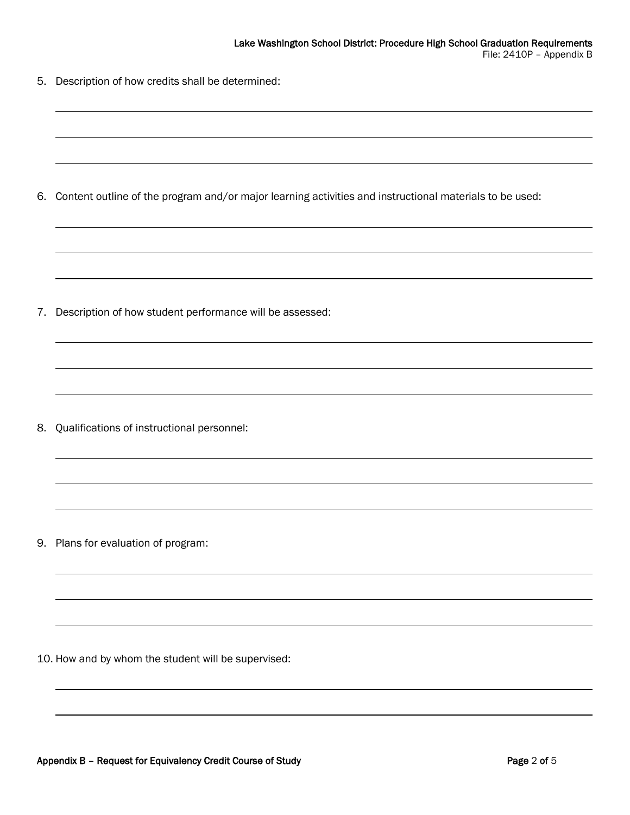5. Description of how credits shall be determined:

6. Content outline of the program and/or major learning activities and instructional materials to be used:

7. Description of how student performance will be assessed:

8. Qualifications of instructional personnel:

9. Plans for evaluation of program:

10. How and by whom the student will be supervised: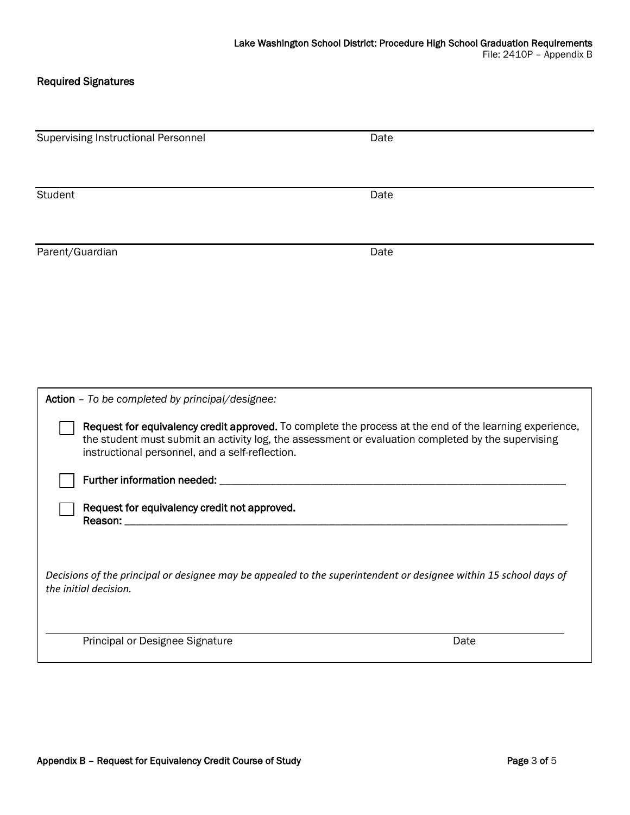### Required Signatures

| <b>Supervising Instructional Personnel</b>      | Date                                                                                                                                                                                                          |  |  |
|-------------------------------------------------|---------------------------------------------------------------------------------------------------------------------------------------------------------------------------------------------------------------|--|--|
| Student                                         | Date                                                                                                                                                                                                          |  |  |
| Parent/Guardian                                 | Date                                                                                                                                                                                                          |  |  |
|                                                 |                                                                                                                                                                                                               |  |  |
|                                                 |                                                                                                                                                                                                               |  |  |
|                                                 |                                                                                                                                                                                                               |  |  |
| Action - To be completed by principal/designee: |                                                                                                                                                                                                               |  |  |
| instructional personnel, and a self-reflection. | Request for equivalency credit approved. To complete the process at the end of the learning experience,<br>the student must submit an activity log, the assessment or evaluation completed by the supervising |  |  |
|                                                 |                                                                                                                                                                                                               |  |  |
|                                                 | Request for equivalency credit not approved.                                                                                                                                                                  |  |  |
| the initial decision.                           | Decisions of the principal or designee may be appealed to the superintendent or designee within 15 school days of                                                                                             |  |  |
| Principal or Designee Signature                 | Date                                                                                                                                                                                                          |  |  |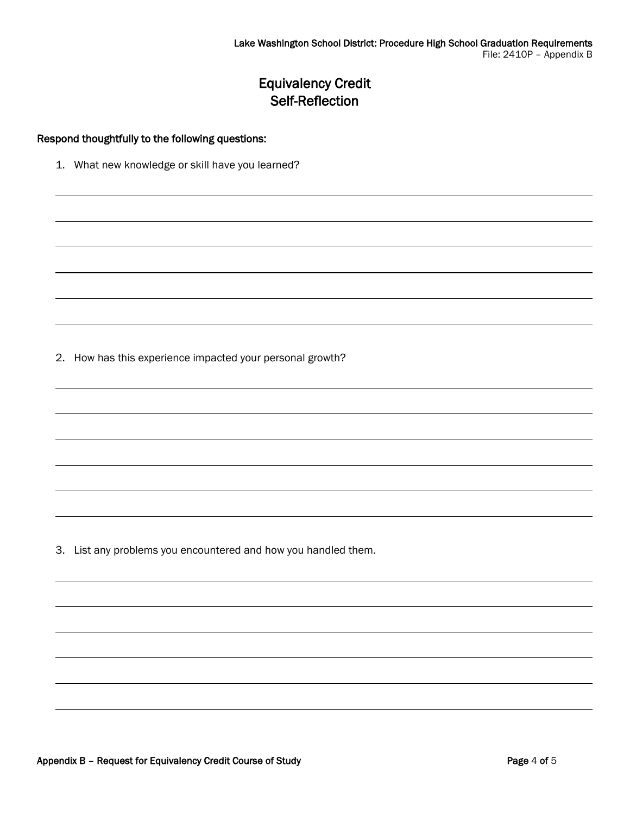## Equivalency Credit Self-Reflection

#### Respond thoughtfully to the following questions:

1. What new knowledge or skill have you learned?

2. How has this experience impacted your personal growth?

3. List any problems you encountered and how you handled them.